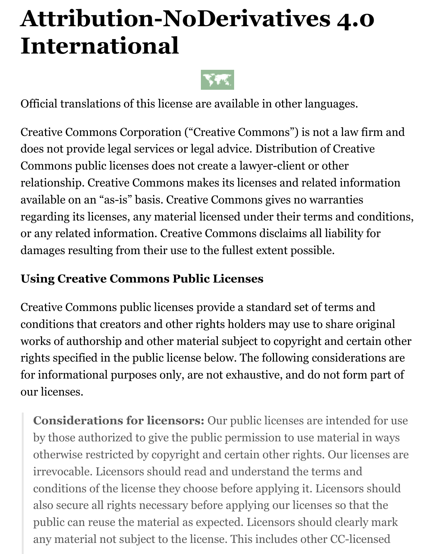# **Attribution-NoDerivatives 4.0 International**



Official translations of this license are available in other languages.

Creative Commons Corporation ("Creative Commons") is not a law firm and does not provide legal services or legal advice. Distribution of Creative Commons public licenses does not create a lawyer-client or other relationship. Creative Commons makes its licenses and related information available on an "as-is" basis. Creative Commons gives no warranties regarding its licenses, any material licensed under their terms and conditions, or any related information. Creative Commons disclaims all liability for damages resulting from their use to the fullest extent possible.

#### **Using Creative Commons Public Licenses**

Creative Commons public licenses provide a standard set of terms and conditions that creators and other rights holders may use to share original works of authorship and other material subject to copyright and certain other rights specified in the public license below. The following considerations are for informational purposes only, are not exhaustive, and do not form part of our licenses.

**Considerations for licensors:** Our public licenses are intended for use by those authorized to give the public permission to use material in ways otherwise restricted by copyright and certain other rights. Our licenses are irrevocable. Licensors should read and understand the terms and conditions of the license they choose before applying it. Licensors should also secure all rights necessary before applying our licenses so that the public can reuse the material as expected. Licensors should clearly mark any material not subject to the license. This includes other CC-licensed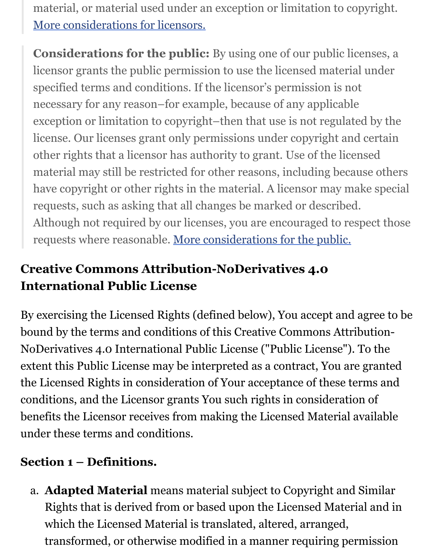material, or material used under an exception or limitation to copyright. [More considerations for licensors.](https://wiki.creativecommons.org/Considerations_for_licensors_and_licensees#Considerations_for_licensors)

**Considerations for the public:** By using one of our public licenses, a licensor grants the public permission to use the licensed material under specified terms and conditions. If the licensor's permission is not necessary for any reason–for example, because of any applicable exception or limitation to copyright–then that use is not regulated by the license. Our licenses grant only permissions under copyright and certain other rights that a licensor has authority to grant. Use of the licensed material may still be restricted for other reasons, including because others have copyright or other rights in the material. A licensor may make special requests, such as asking that all changes be marked or described. Although not required by our licenses, you are encouraged to respect those requests where reasonable. [More considerations for the public.](https://wiki.creativecommons.org/Considerations_for_licensors_and_licensees#Considerations_for_licensees)

## **Creative Commons Attribution-NoDerivatives 4.0 International Public License**

By exercising the Licensed Rights (defined below), You accept and agree to be bound by the terms and conditions of this Creative Commons Attribution-NoDerivatives 4.0 International Public License ("Public License"). To the extent this Public License may be interpreted as a contract, You are granted the Licensed Rights in consideration of Your acceptance of these terms and conditions, and the Licensor grants You such rights in consideration of benefits the Licensor receives from making the Licensed Material available under these terms and conditions.

### **Section 1 – Definitions.**

a. **Adapted Material** means material subject to Copyright and Similar Rights that is derived from or based upon the Licensed Material and in which the Licensed Material is translated, altered, arranged, transformed, or otherwise modified in a manner requiring permission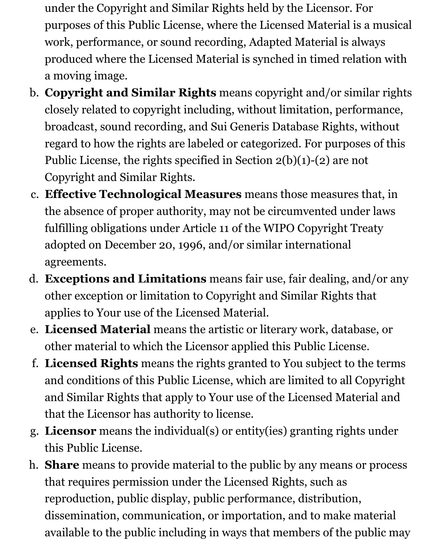under the Copyright and Similar Rights held by the Licensor. For purposes of this Public License, where the Licensed Material is a musical work, performance, or sound recording, Adapted Material is always produced where the Licensed Material is synched in timed relation with a moving image.

- b. **Copyright and Similar Rights** means copyright and/or similar rights closely related to copyright including, without limitation, performance, broadcast, sound recording, and Sui Generis Database Rights, without regard to how the rights are labeled or categorized. For purposes of this Public License, the rights specified in Section 2(b)(1)-(2) are not Copyright and Similar Rights.
- c. **Effective Technological Measures** means those measures that, in the absence of proper authority, may not be circumvented under laws fulfilling obligations under Article 11 of the WIPO Copyright Treaty adopted on December 20, 1996, and/or similar international agreements.
- d. **Exceptions and Limitations** means fair use, fair dealing, and/or any other exception or limitation to Copyright and Similar Rights that applies to Your use of the Licensed Material.
- e. **Licensed Material** means the artistic or literary work, database, or other material to which the Licensor applied this Public License.
- f. **Licensed Rights** means the rights granted to You subject to the terms and conditions of this Public License, which are limited to all Copyright and Similar Rights that apply to Your use of the Licensed Material and that the Licensor has authority to license.
- g. **Licensor** means the individual(s) or entity(ies) granting rights under this Public License.
- h. **Share** means to provide material to the public by any means or process that requires permission under the Licensed Rights, such as reproduction, public display, public performance, distribution, dissemination, communication, or importation, and to make material available to the public including in ways that members of the public may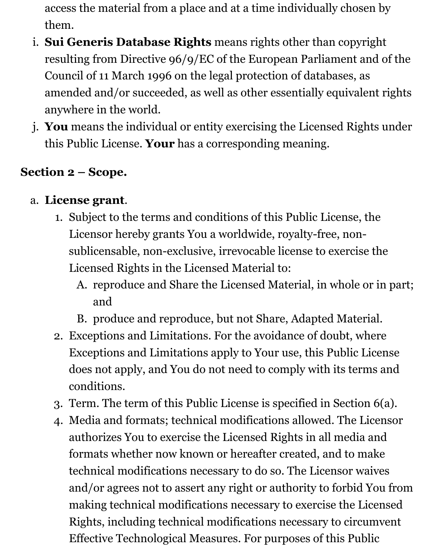access the material from a place and at a time individually chosen by them.

- i. **Sui Generis Database Rights** means rights other than copyright resulting from Directive 96/9/EC of the European Parliament and of the Council of 11 March 1996 on the legal protection of databases, as amended and/or succeeded, as well as other essentially equivalent rights anywhere in the world.
- j. **You** means the individual or entity exercising the Licensed Rights under this Public License. **Your** has a corresponding meaning.

### **Section 2 – Scope.**

#### a. **License grant**.

- 1. Subject to the terms and conditions of this Public License, the Licensor hereby grants You a worldwide, royalty-free, nonsublicensable, non-exclusive, irrevocable license to exercise the Licensed Rights in the Licensed Material to:
	- A. reproduce and Share the Licensed Material, in whole or in part; and
	- B. produce and reproduce, but not Share, Adapted Material.
- 2. Exceptions and Limitations. For the avoidance of doubt, where Exceptions and Limitations apply to Your use, this Public License does not apply, and You do not need to comply with its terms and conditions.
- 3. Term. The term of this Public License is specified in Section 6(a).
- 4. Media and formats; technical modifications allowed. The Licensor authorizes You to exercise the Licensed Rights in all media and formats whether now known or hereafter created, and to make technical modifications necessary to do so. The Licensor waives and/or agrees not to assert any right or authority to forbid You from making technical modifications necessary to exercise the Licensed Rights, including technical modifications necessary to circumvent Effective Technological Measures. For purposes of this Public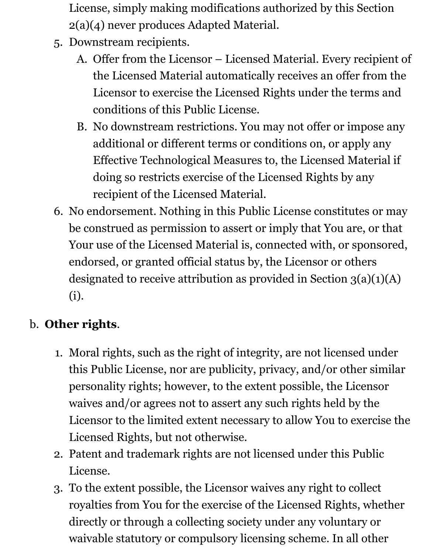License, simply making modifications authorized by this Section 2(a)(4) never produces Adapted Material.

- 5. Downstream recipients.
	- A. Offer from the Licensor Licensed Material. Every recipient of the Licensed Material automatically receives an offer from the Licensor to exercise the Licensed Rights under the terms and conditions of this Public License.
	- B. No downstream restrictions. You may not offer or impose any additional or different terms or conditions on, or apply any Effective Technological Measures to, the Licensed Material if doing so restricts exercise of the Licensed Rights by any recipient of the Licensed Material.
- 6. No endorsement. Nothing in this Public License constitutes or may be construed as permission to assert or imply that You are, or that Your use of the Licensed Material is, connected with, or sponsored, endorsed, or granted official status by, the Licensor or others designated to receive attribution as provided in Section 3(a)(1)(A) (i).

# b. **Other rights**.

- 1. Moral rights, such as the right of integrity, are not licensed under this Public License, nor are publicity, privacy, and/or other similar personality rights; however, to the extent possible, the Licensor waives and/or agrees not to assert any such rights held by the Licensor to the limited extent necessary to allow You to exercise the Licensed Rights, but not otherwise.
- 2. Patent and trademark rights are not licensed under this Public License.
- 3. To the extent possible, the Licensor waives any right to collect royalties from You for the exercise of the Licensed Rights, whether directly or through a collecting society under any voluntary or waivable statutory or compulsory licensing scheme. In all other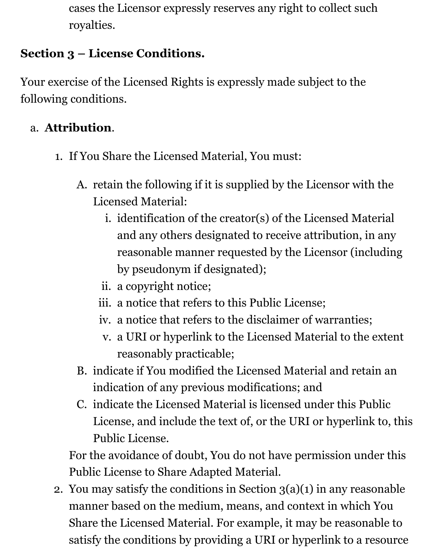cases the Licensor expressly reserves any right to collect such royalties.

### **Section 3 – License Conditions.**

Your exercise of the Licensed Rights is expressly made subject to the following conditions.

#### a. **Attribution**.

- 1. If You Share the Licensed Material, You must:
	- A. retain the following if it is supplied by the Licensor with the Licensed Material:
		- i. identification of the creator(s) of the Licensed Material and any others designated to receive attribution, in any reasonable manner requested by the Licensor (including by pseudonym if designated);
		- ii. a copyright notice;
		- iii. a notice that refers to this Public License;
		- iv. a notice that refers to the disclaimer of warranties;
		- v. a URI or hyperlink to the Licensed Material to the extent reasonably practicable;
	- B. indicate if You modified the Licensed Material and retain an indication of any previous modifications; and
	- C. indicate the Licensed Material is licensed under this Public License, and include the text of, or the URI or hyperlink to, this Public License.

For the avoidance of doubt, You do not have permission under this Public License to Share Adapted Material.

2. You may satisfy the conditions in Section  $3(a)(1)$  in any reasonable manner based on the medium, means, and context in which You Share the Licensed Material. For example, it may be reasonable to satisfy the conditions by providing a URI or hyperlink to a resource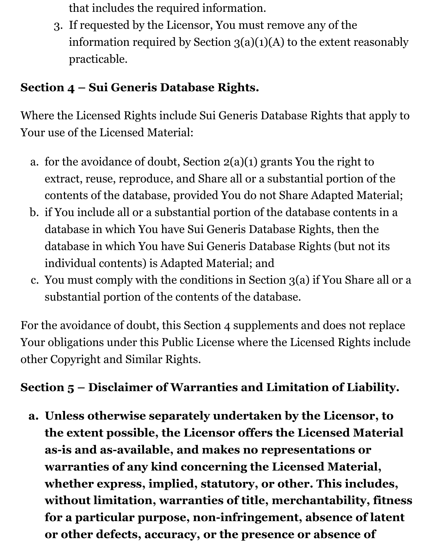that includes the required information.

3. If requested by the Licensor, You must remove any of the information required by Section  $3(a)(1)(A)$  to the extent reasonably practicable.

### **Section 4 – Sui Generis Database Rights.**

Where the Licensed Rights include Sui Generis Database Rights that apply to Your use of the Licensed Material:

- a. for the avoidance of doubt, Section  $2(a)(1)$  grants You the right to extract, reuse, reproduce, and Share all or a substantial portion of the contents of the database, provided You do not Share Adapted Material;
- b. if You include all or a substantial portion of the database contents in a database in which You have Sui Generis Database Rights, then the database in which You have Sui Generis Database Rights (but not its individual contents) is Adapted Material; and
- c. You must comply with the conditions in Section 3(a) if You Share all or a substantial portion of the contents of the database.

For the avoidance of doubt, this Section 4 supplements and does not replace Your obligations under this Public License where the Licensed Rights include other Copyright and Similar Rights.

### **Section 5 – Disclaimer of Warranties and Limitation of Liability.**

**a. Unless otherwise separately undertaken by the Licensor, to the extent possible, the Licensor offers the Licensed Material as-is and as-available, and makes no representations or warranties of any kind concerning the Licensed Material, whether express, implied, statutory, or other. This includes, without limitation, warranties of title, merchantability, fitness for a particular purpose, non-infringement, absence of latent or other defects, accuracy, or the presence or absence of**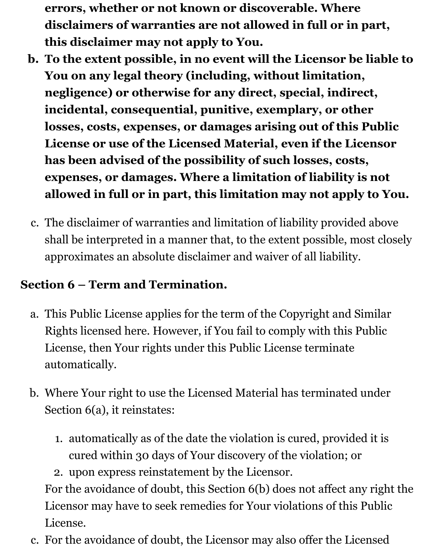**errors, whether or not known or discoverable. Where disclaimers of warranties are not allowed in full or in part, this disclaimer may not apply to You.**

- **b. To the extent possible, in no event will the Licensor be liable to You on any legal theory (including, without limitation, negligence) or otherwise for any direct, special, indirect, incidental, consequential, punitive, exemplary, or other losses, costs, expenses, or damages arising out of this Public License or use of the Licensed Material, even if the Licensor has been advised of the possibility of such losses, costs, expenses, or damages. Where a limitation of liability is not allowed in full or in part, this limitation may not apply to You.**
- c. The disclaimer of warranties and limitation of liability provided above shall be interpreted in a manner that, to the extent possible, most closely approximates an absolute disclaimer and waiver of all liability.

### **Section 6 – Term and Termination.**

- a. This Public License applies for the term of the Copyright and Similar Rights licensed here. However, if You fail to comply with this Public License, then Your rights under this Public License terminate automatically.
- b. Where Your right to use the Licensed Material has terminated under Section 6(a), it reinstates:
	- 1. automatically as of the date the violation is cured, provided it is cured within 30 days of Your discovery of the violation; or

2. upon express reinstatement by the Licensor. For the avoidance of doubt, this Section 6(b) does not affect any right the Licensor may have to seek remedies for Your violations of this Public License.

c. For the avoidance of doubt, the Licensor may also offer the Licensed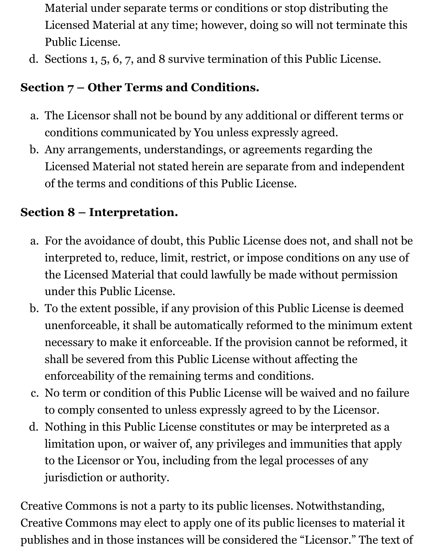- Material under separate terms or conditions or stop distributing the Licensed Material at any time; however, doing so will not terminate this Public License.
- d. Sections 1, 5, 6, 7, and 8 survive termination of this Public License.

### **Section 7 – Other Terms and Conditions.**

- a. The Licensor shall not be bound by any additional or different terms or conditions communicated by You unless expressly agreed.
- b. Any arrangements, understandings, or agreements regarding the Licensed Material not stated herein are separate from and independent of the terms and conditions of this Public License.

#### **Section 8 – Interpretation.**

- a. For the avoidance of doubt, this Public License does not, and shall not be interpreted to, reduce, limit, restrict, or impose conditions on any use of the Licensed Material that could lawfully be made without permission under this Public License.
- b. To the extent possible, if any provision of this Public License is deemed unenforceable, it shall be automatically reformed to the minimum extent necessary to make it enforceable. If the provision cannot be reformed, it shall be severed from this Public License without affecting the enforceability of the remaining terms and conditions.
- c. No term or condition of this Public License will be waived and no failure to comply consented to unless expressly agreed to by the Licensor.
- d. Nothing in this Public License constitutes or may be interpreted as a limitation upon, or waiver of, any privileges and immunities that apply to the Licensor or You, including from the legal processes of any jurisdiction or authority.

Creative Commons is not a party to its public licenses. Notwithstanding, Creative Commons may elect to apply one of its public licenses to material it publishes and in those instances will be considered the "Licensor." The text of